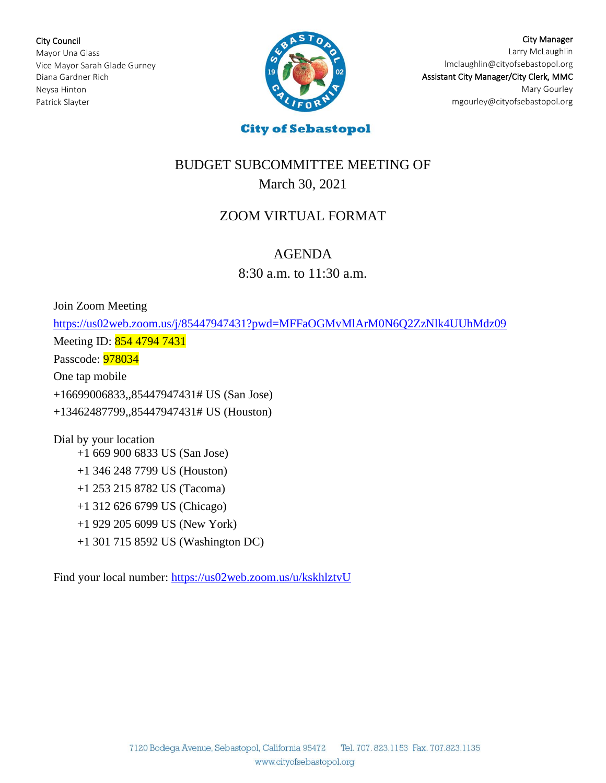City Council Mayor Una Glass Vice Mayor Sarah Glade Gurney Diana Gardner Rich Neysa Hinton Patrick Slayter



City Manager Larry McLaughlin [lmclaughlin@cityofsebastopol.org](mailto:lmclaughlin@cityofsebastopol.org) Assistant City Manager/City Clerk, MMC Mary Gourley mgourley@cityofsebastopol.org

ì

# BUDGET SUBCOMMITTEE MEETING OF March 30, 2021

## ZOOM VIRTUAL FORMAT

### AGENDA

8:30 a.m. to 11:30 a.m.

Join Zoom Meeting

<https://us02web.zoom.us/j/85447947431?pwd=MFFaOGMvMlArM0N6Q2ZzNlk4UUhMdz09> Meeting ID: 854 4794 7431

Passcode: 978034

One tap mobile

+16699006833,,85447947431# US (San Jose)

+13462487799,,85447947431# US (Houston)

Dial by your location

+1 669 900 6833 US (San Jose)

+1 346 248 7799 US (Houston)

+1 253 215 8782 US (Tacoma)

+1 312 626 6799 US (Chicago)

+1 929 205 6099 US (New York)

+1 301 715 8592 US (Washington DC)

Find your local number: <https://us02web.zoom.us/u/kskhlztvU>